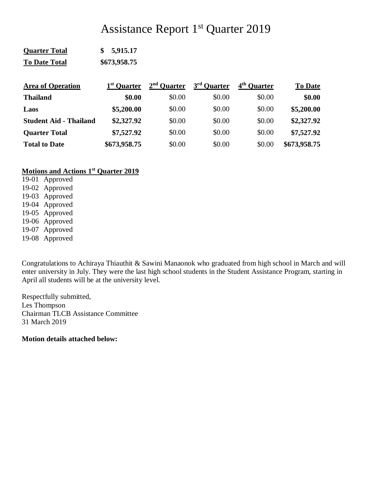# Assistance Report 1<sup>st</sup> Quarter 2019

| <b>Quarter Total</b> | \$5,915.17   |
|----------------------|--------------|
| <b>To Date Total</b> | \$673,958.75 |

| <b>Area of Operation</b>      | 1 <sup>st</sup> Quarter | $2nd$ Ouarter | 3 <sup>rd</sup> Quarter | 4 <sup>th</sup> Ouarter | <b>To Date</b> |
|-------------------------------|-------------------------|---------------|-------------------------|-------------------------|----------------|
| <b>Thailand</b>               | \$0.00                  | \$0.00        | \$0.00                  | \$0.00                  | \$0.00         |
| Laos                          | \$5,200.00              | \$0.00        | \$0.00                  | \$0.00                  | \$5,200.00     |
| <b>Student Aid - Thailand</b> | \$2,327.92              | \$0.00        | \$0.00                  | \$0.00                  | \$2,327.92     |
| <b>Quarter Total</b>          | \$7,527.92              | \$0.00        | \$0.00                  | \$0.00                  | \$7,527.92     |
| <b>Total to Date</b>          | \$673,958.75            | \$0.00        | \$0.00                  | \$0.00                  | \$673,958.75   |

### **Motions and Actions 1st Quarter 2019**

19-01 Approved 19-02 Approved 19-03 Approved 19-04 Approved 19-05 Approved 19-06 Approved 19-07 Approved 19-08 Approved

Congratulations to Achiraya Thiauthit & Sawini Manaonok who graduated from high school in March and will enter university in July. They were the last high school students in the Student Assistance Program, starting in April all students will be at the university level.

Respectfully submitted, Les Thompson Chairman TLCB Assistance Committee 31 March 2019

**Motion details attached below:**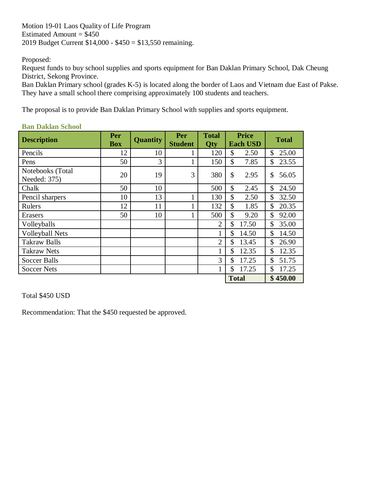Motion 19-01 Laos Quality of Life Program Estimated Amount  $= $450$ 2019 Budget Current \$14,000 - \$450 = \$13,550 remaining.

Proposed:

Request funds to buy school supplies and sports equipment for Ban Daklan Primary School, Dak Cheung District, Sekong Province.

Ban Daklan Primary school (grades K-5) is located along the border of Laos and Vietnam due East of Pakse. They have a small school there comprising approximately 100 students and teachers.

The proposal is to provide Ban Daklan Primary School with supplies and sports equipment.

| <b>Description</b>               | Per<br><b>Box</b> | <b>Quantity</b> | Per<br><b>Student</b> | <b>Total</b><br>Qty | <b>Price</b><br><b>Each USD</b> | <b>Total</b> |
|----------------------------------|-------------------|-----------------|-----------------------|---------------------|---------------------------------|--------------|
| Pencils                          | 12                | 10              |                       | 120                 | \$<br>2.50                      | \$<br>25.00  |
| Pens                             | 50                | 3               |                       | 150                 | \$<br>7.85                      | \$<br>23.55  |
| Notebooks (Total<br>Needed: 375) | 20                | 19              | 3                     | 380                 | \$<br>2.95                      | \$<br>56.05  |
| Chalk                            | 50                | 10              |                       | 500                 | \$<br>2.45                      | \$<br>24.50  |
| Pencil sharpers                  | 10                | 13              |                       | 130                 | \$<br>2.50                      | \$<br>32.50  |
| Rulers                           | 12                | 11              |                       | 132                 | \$<br>1.85                      | \$<br>20.35  |
| Erasers                          | 50                | 10              |                       | 500                 | \$<br>9.20                      | \$<br>92.00  |
| Volleyballs                      |                   |                 |                       | $\overline{2}$      | \$<br>17.50                     | \$<br>35.00  |
| <b>Volleyball Nets</b>           |                   |                 |                       |                     | \$<br>14.50                     | \$<br>14.50  |
| <b>Takraw Balls</b>              |                   |                 |                       | $\overline{2}$      | \$<br>13.45                     | \$<br>26.90  |
| <b>Takraw Nets</b>               |                   |                 |                       |                     | \$<br>12.35                     | \$<br>12.35  |
| <b>Soccer Balls</b>              |                   |                 |                       | 3                   | \$<br>17.25                     | \$<br>51.75  |
| <b>Soccer Nets</b>               |                   |                 |                       |                     | \$<br>17.25                     | \$<br>17.25  |
|                                  |                   |                 |                       |                     | <b>Total</b>                    | \$450.00     |

## **Ban Daklan School**

Total \$450 USD

Recommendation: That the \$450 requested be approved.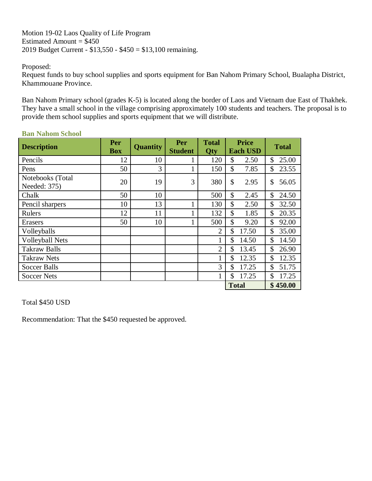Motion 19-02 Laos Quality of Life Program Estimated Amount  $=$  \$450 2019 Budget Current - \$13,550 - \$450 = \$13,100 remaining.

#### Proposed:

Request funds to buy school supplies and sports equipment for Ban Nahom Primary School, Bualapha District, Khammouane Province.

Ban Nahom Primary school (grades K-5) is located along the border of Laos and Vietnam due East of Thakhek. They have a small school in the village comprising approximately 100 students and teachers. The proposal is to provide them school supplies and sports equipment that we will distribute.

| <b>Description</b>               | Per        | <b>Quantity</b> | Per                          | <b>Total</b>   | <b>Price</b>           | <b>Total</b> |
|----------------------------------|------------|-----------------|------------------------------|----------------|------------------------|--------------|
|                                  | <b>Box</b> |                 | <b>Student</b><br><b>Qty</b> |                | <b>Each USD</b>        |              |
| Pencils                          | 12         | 10              |                              | 120            | \$<br>2.50             | \$<br>25.00  |
| Pens                             | 50         | 3               |                              | 150            | \$<br>7.85             | \$<br>23.55  |
| Notebooks (Total<br>Needed: 375) | 20         | 19              | 3                            | 380            | \$<br>2.95             | \$<br>56.05  |
| Chalk                            | 50         | 10              |                              | 500            | \$<br>2.45             | \$<br>24.50  |
| Pencil sharpers                  | 10         | 13              | 1                            | 130            | \$<br>2.50             | \$<br>32.50  |
| Rulers                           | 12         | 11              |                              | 132            | \$<br>1.85             | \$<br>20.35  |
| Erasers                          | 50         | 10              | 1                            | 500            | \$<br>9.20             | \$<br>92.00  |
| Volleyballs                      |            |                 |                              | $\overline{2}$ | \$<br>17.50            | \$<br>35.00  |
| <b>Volleyball Nets</b>           |            |                 |                              | 1              | \$<br>14.50            | \$<br>14.50  |
| <b>Takraw Balls</b>              |            |                 |                              | $\overline{2}$ | \$<br>13.45            | \$<br>26.90  |
| <b>Takraw Nets</b>               |            |                 |                              | 1              | $\mathcal{S}$<br>12.35 | \$<br>12.35  |
| Soccer Balls                     |            |                 |                              | 3              | \$<br>17.25            | \$<br>51.75  |
| <b>Soccer Nets</b>               |            |                 |                              |                | \$<br>17.25            | \$<br>17.25  |
|                                  |            |                 |                              |                | <b>Total</b>           | \$450.00     |

#### **Ban Nahom School**

Total \$450 USD

Recommendation: That the \$450 requested be approved.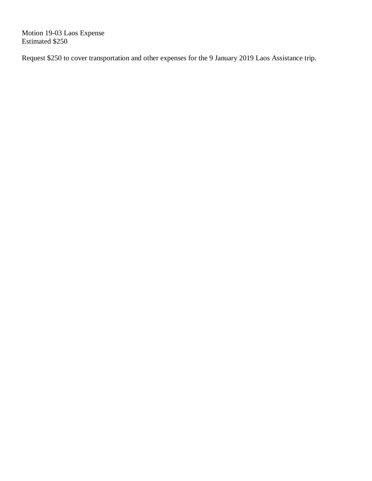Motion 19-03 Laos Expense Estimated \$250

Request \$250 to cover transportation and other expenses for the 9 January 2019 Laos Assistance trip.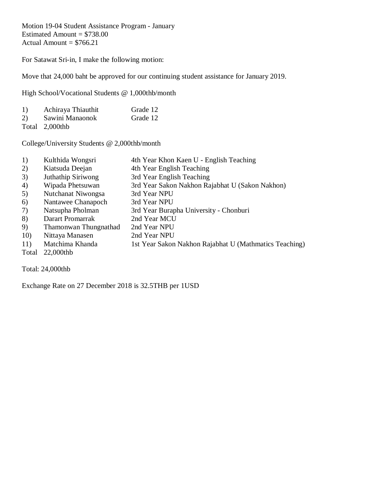Motion 19-04 Student Assistance Program - January Estimated Amount  $= $738.00$ Actual Amount  $= $766.21$ 

For Satawat Sri-in, I make the following motion:

Move that 24,000 baht be approved for our continuing student assistance for January 2019.

High School/Vocational Students @ 1,000thb/month

| 1)  | Achiraya Thiauthit                   | Grade 12 |
|-----|--------------------------------------|----------|
| (2) | Sawini Manaonok                      | Grade 12 |
|     | $T_{\text{rel}}$ 1 $\Omega$ $\Omega$ |          |

Total 2,000thb

College/University Students @ 2,000thb/month

| 1)     | Kulthida Wongsri | 4th Year Khon Kaen U - English Teaching |
|--------|------------------|-----------------------------------------|
| $\sim$ |                  |                                         |

- 2) Kiatsuda Deejan 4th Year English Teaching
- 3) Juthathip Siriwong 3rd Year English Teaching
- 4) Wipada Phetsuwan 3rd Year Sakon Nakhon Rajabhat U (Sakon Nakhon)
- 5) Nutchanat Niwongsa 3rd Year NPU
- 6) Nantawee Chanapoch 3rd Year NPU
- 7) Natsupha Pholman 3rd Year Burapha University Chonburi
- 8) Darart Promarrak 2nd Year MCU
- 9) Thamonwan Thungnathad 2nd Year NPU
- 10) Nittaya Manasen 2nd Year NPU
- 11) Matchima Khanda 1st Year Sakon Nakhon Rajabhat U (Mathmatics Teaching)
- Total 22,000thb

Total: 24,000thb

Exchange Rate on 27 December 2018 is 32.5THB per 1USD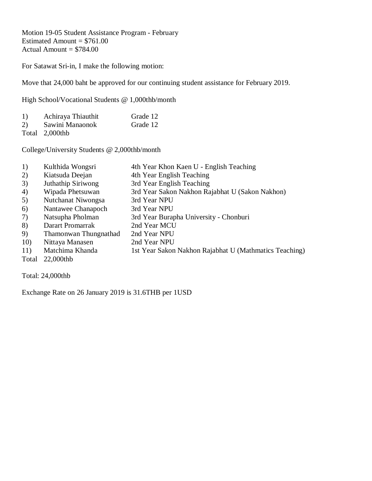Motion 19-05 Student Assistance Program - February Estimated Amount  $= $761.00$ Actual Amount  $= $784.00$ 

For Satawat Sri-in, I make the following motion:

Move that 24,000 baht be approved for our continuing student assistance for February 2019.

High School/Vocational Students @ 1,000thb/month

| 1)         | Achiraya Thiauthit      | Grade 12 |
|------------|-------------------------|----------|
| 2)         | Sawini Manaonok         | Grade 12 |
| <b>m</b> 1 | $\sim$ 0.00 $\cdot$ 1.1 |          |

Total 2,000thb

College/University Students @ 2,000thb/month

| 1)    | Kulthida Wongsri      | 4th Year Khon Kaen U - English Teaching                |
|-------|-----------------------|--------------------------------------------------------|
| 2)    | Kiatsuda Deejan       | 4th Year English Teaching                              |
| 3)    | Juthathip Siriwong    | 3rd Year English Teaching                              |
| 4)    | Wipada Phetsuwan      | 3rd Year Sakon Nakhon Rajabhat U (Sakon Nakhon)        |
| 5)    | Nutchanat Niwongsa    | 3rd Year NPU                                           |
| 6)    | Nantawee Chanapoch    | 3rd Year NPU                                           |
| 7)    | Natsupha Pholman      | 3rd Year Burapha University - Chonburi                 |
| 8)    | Darart Promarrak      | 2nd Year MCU                                           |
| 9)    | Thamonwan Thungnathad | 2nd Year NPU                                           |
| 10)   | Nittaya Manasen       | 2nd Year NPU                                           |
| 11)   | Matchima Khanda       | 1st Year Sakon Nakhon Rajabhat U (Mathmatics Teaching) |
| Total | 22,000thb             |                                                        |
|       |                       |                                                        |

Total: 24,000thb

Exchange Rate on 26 January 2019 is 31.6THB per 1USD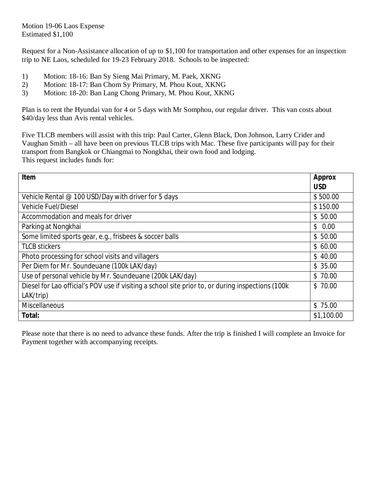Motion 19-06 Laos Expense Estimated \$1,100

Request for a Non-Assistance allocation of up to \$1,100 for transportation and other expenses for an inspection trip to NE Laos, scheduled for 19-23 February 2018. Schools to be inspected:

- 1) Motion: 18-16: Ban Sy Sieng Mai Primary, M. Paek, XKNG
- 2) Motion: 18-17: Ban Chom Sy Primary, M. Phou Kout, XKNG
- 3) Motion: 18-20: Ban Lang Chong Primary, M. Phou Kout, XKNG

Plan is to rent the Hyundai van for 4 or 5 days with Mr Somphou, our regular driver. This van costs about \$40/day less than Avis rental vehicles.

Five TLCB members will assist with this trip: Paul Carter, Glenn Black, Don Johnson, Larry Crider and Vaughan Smith – all have been on previous TLCB trips with Mac. These five participants will pay for their transport from Bangkok or Chiangmai to Nongkhai, their own food and lodging. This request includes funds for:

| Item                                                                                              | Approx     |
|---------------------------------------------------------------------------------------------------|------------|
|                                                                                                   | <b>USD</b> |
| Vehicle Rental @ 100 USD/Day with driver for 5 days                                               | \$500.00   |
| <b>Vehicle Fuel/Diesel</b>                                                                        | \$150.00   |
| Accommodation and meals for driver                                                                | \$50.00    |
| Parking at Nongkhai                                                                               | \$0.00     |
| Some limited sports gear, e.g., frisbees & soccer balls                                           | \$50.00    |
| <b>TLCB stickers</b>                                                                              | \$60.00    |
| Photo processing for school visits and villagers                                                  | \$40.00    |
| Per Diem for Mr. Soundeuane (100k LAK/day)                                                        | \$35.00    |
| Use of personal vehicle by Mr. Soundeuane (200k LAK/day)                                          | \$70.00    |
| Diesel for Lao official's POV use if visiting a school site prior to, or during inspections (100k | \$70.00    |
| LAK/trip)                                                                                         |            |
| <b>Miscellaneous</b>                                                                              | \$75.00    |
| Total:                                                                                            | \$1,100.00 |

Please note that there is no need to advance these funds. After the trip is finished I will complete an Invoice for Payment together with accompanying receipts.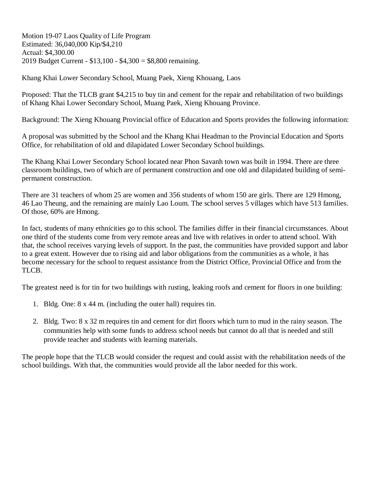Motion 19-07 Laos Quality of Life Program Estimated: 36,040,000 Kip/\$4,210 Actual: \$4,300.00 2019 Budget Current - \$13,100 - \$4,300 = \$8,800 remaining.

Khang Khai Lower Secondary School, Muang Paek, Xieng Khouang, Laos

Proposed: That the TLCB grant \$4,215 to buy tin and cement for the repair and rehabilitation of two buildings of Khang Khai Lower Secondary School, Muang Paek, Xieng Khouang Province.

Background: The Xieng Khouang Provincial office of Education and Sports provides the following information:

A proposal was submitted by the School and the Khang Khai Headman to the Provincial Education and Sports Office, for rehabilitation of old and dilapidated Lower Secondary School buildings.

The Khang Khai Lower Secondary School located near Phon Savanh town was built in 1994. There are three classroom buildings, two of which are of permanent construction and one old and dilapidated building of semipermanent construction.

There are 31 teachers of whom 25 are women and 356 students of whom 150 are girls. There are 129 Hmong, 46 Lao Theung, and the remaining are mainly Lao Loum. The school serves 5 villages which have 513 families. Of those, 60% are Hmong.

In fact, students of many ethnicities go to this school. The families differ in their financial circumstances. About one third of the students come from very remote areas and live with relatives in order to attend school. With that, the school receives varying levels of support. In the past, the communities have provided support and labor to a great extent. However due to rising aid and labor obligations from the communities as a whole, it has become necessary for the school to request assistance from the District Office, Provincial Office and from the TLCB.

The greatest need is for tin for two buildings with rusting, leaking roofs and cement for floors in one building:

- 1. Bldg. One: 8 x 44 m. (including the outer hall) requires tin.
- 2. Bldg. Two: 8 x 32 m requires tin and cement for dirt floors which turn to mud in the rainy season. The communities help with some funds to address school needs but cannot do all that is needed and still provide teacher and students with learning materials.

The people hope that the TLCB would consider the request and could assist with the rehabilitation needs of the school buildings. With that, the communities would provide all the labor needed for this work.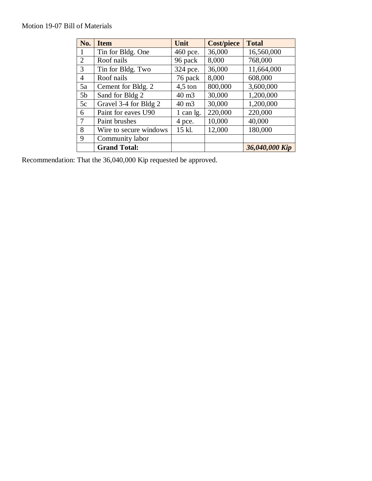## Motion 19-07 Bill of Materials

| No.            | <b>Item</b>            | Unit              | <b>Cost/piece</b> | <b>Total</b>   |
|----------------|------------------------|-------------------|-------------------|----------------|
| 1              | Tin for Bldg. One      | 460 pce.          | 36,000            | 16,560,000     |
| $\overline{2}$ | Roof nails             | 96 pack           | 8,000             | 768,000        |
| 3              | Tin for Bldg. Two      | 324 pce.          | 36,000            | 11,664,000     |
| $\overline{4}$ | Roof nails             | 76 pack           | 8,000             | 608,000        |
| 5a             | Cement for Bldg. 2     | $4,5$ ton         | 800,000           | 3,600,000      |
| 5 <sub>b</sub> | Sand for Bldg 2        | 40 m <sub>3</sub> | 30,000            | 1,200,000      |
| 5c             | Gravel 3-4 for Bldg 2  | 40 m <sub>3</sub> | 30,000            | 1,200,000      |
| 6              | Paint for eaves U90    | 1 can lg.         | 220,000           | 220,000        |
| 7              | Paint brushes          | 4 pce.            | 10,000            | 40,000         |
| 8              | Wire to secure windows | 15 kl.            | 12,000            | 180,000        |
| 9              | Community labor        |                   |                   |                |
|                | <b>Grand Total:</b>    |                   |                   | 36,040,000 Kip |

Recommendation: That the 36,040,000 Kip requested be approved.